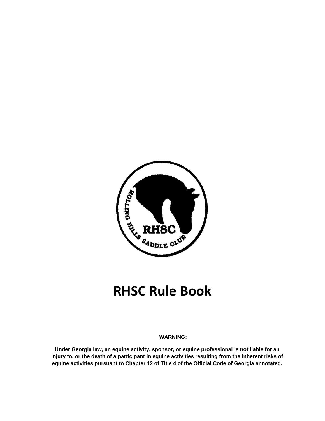

### **RHSC Rule Book**

#### **WARNING:**

**Under Georgia law, an equine activity, sponsor, or equine professional is not liable for an injury to, or the death of a participant in equine activities resulting from the inherent risks of equine activities pursuant to Chapter 12 of Title 4 of the Official Code of Georgia annotated.**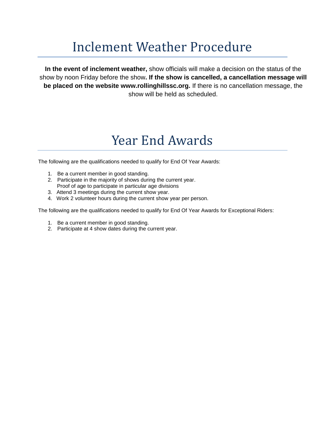## Inclement Weather Procedure

**In the event of inclement weather,** show officials will make a decision on the status of the show by noon Friday before the show**. If the show is cancelled, a cancellation message will be placed on the website www.rollinghillssc.org.** If there is no cancellation message, the show will be held as scheduled.

### Year End Awards

The following are the qualifications needed to qualify for End Of Year Awards:

- 1. Be a current member in good standing.
- 2. Participate in the majority of shows during the current year. Proof of age to participate in particular age divisions
- 3. Attend 3 meetings during the current show year.
- 4. Work 2 volunteer hours during the current show year per person.

The following are the qualifications needed to qualify for End Of Year Awards for Exceptional Riders:

- 1. Be a current member in good standing.
- 2. Participate at 4 show dates during the current year.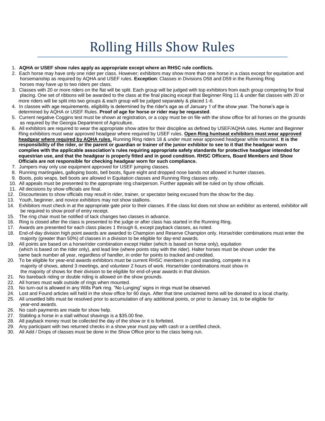# Rolling Hills Show Rules

#### 1. **AQHA or USEF show rules apply as appropriate except where an RHSC rule conflicts.**

- 2. Each horse may have only one rider per class. However; exhibitors may show more than one horse in a class except for equitation and horsemanship as required by AQHA and USEF rules. **Exception**: Classes in Divisions D58 and D59 in the Running Ring horses may have up to two riders per class.
- 3. Classes with 20 or more riders on the flat will be split. Each group will be judged with top exhibitors from each group competing for final placing. One set of ribbons will be awarded to the class at the final placing except that Beginner Ring 11 & under flat classes with 20 or more riders will be split into two groups & each group will be judged separately & placed 1-6.
- 4. In classes with age requirements, eligibility is determined by the rider's age as of January 1 of the show year. The horse's age is determined by AQHA or USEF Rules. **Proof of age for horse or rider may be requested**.
- 5. Current negative Coggins test must be shown at registration, or a copy must be on file with the show office for all horses on the grounds as required by the Georgia Department of Agriculture.
- 6. All exhibitors are required to wear the appropriate show attire for their discipline as defined by USEF/AQHA rules. Hunter and Beginner Ring exhibitors must wear approved headgear where required by USEF rules. **Open Ring huntseat exhibitors must wear approved headgear where required by AQHA rules.** Running Ring riders 18 & under must wear approved headgear while mounted. **It is the responsibility of the rider, or the parent or guardian or trainer of the junior exhibitor to see to it that the headgear worn complies with the applicable association's rules requiring appropriate safety standards for protective headgear intended for equestrian use, and that the headgear is properly fitted and in good condition. RHSC Officers, Board Members and Show Officials are not responsible for checking headgear worn for such compliance.**
- 7. Jumpers may only use equipment approved for USEF jumping classes.
- 8. Running martingales, galloping boots, bell boots, figure eight and dropped nose bands not allowed in hunter classes.
- 9. Boots, polo wraps, bell boots are allowed in Equitation classes and Running Ring classes only.
- 10. All appeals must be presented to the appropriate ring chairperson. Further appeals will be ruled on by show officials.
- 11. All decisions by show officials are final.
- 12. Discourtesies to show officials may result in rider, trainer, or spectator being excused from the show for the day.
- 13. Youth, beginner, and novice exhibitors may not show stallions.
- 14. Exhibitors must check in at the appropriate gate prior to their classes. If the class list does not show an exhibitor as entered, exhibitor will be required to show proof of entry receipt.
- 15. The ring chair must be notified of tack changes two classes in advance.
- 16. Ring is closed after the class is presented to the judge or after class has started in the Running Ring.
- 17. Awards are presented for each class places 1 through 6, except payback classes, as noted.
- 18. End-of-day division high point awards are awarded to Champion and Reserve Champion only. Horse/rider combinations must enter the majority (greater than 50%) of classes in a division to be eligible for day-end awards.
- 19. All points are based on a horse/rider combination except Halter (which is based on horse only), equitation (which is based on the rider only), and lead line (where points stay with the rider). Halter horses must be shown under the same back number all year, regardless of handler, in order for points to tracked and credited.
- 20. To be eligible for year-end awards exhibitors must be current RHSC members in good standing, compete in a majority of shows, attend 3 meetings, and volunteer 2 hours of work. Horse/rider combinations must show in the majority of shows for their division to be eligible for end-of-year awards in that division.
- 21. No bareback riding or double riding is allowed on the show grounds.
- 22. All horses must walk outside of rings when mounted.
- 23. No turn-out is allowed in any Wills Park ring. "No Lunging" signs in rings must be observed.
- 24. Lost and Found articles will held in the show office for 60 days. After that time unclaimed items will be donated to a local charity.
- 25. All unsettled bills must be resolved prior to accumulation of any additional points, or prior to January 1st, to be eligible for year-end awards.
- 26. No cash payments are made for show help.
- 27. Stabling a horse in a stall without shavings is a \$35.00 fine.
- 28. All payback money must be collected the day of the show or it is forfeited.
- 29. Any participant with two returned checks in a show year must pay with cash or a certified check.
- 30. All Add / Drops of classes must be done in the Show Office prior to the class being run.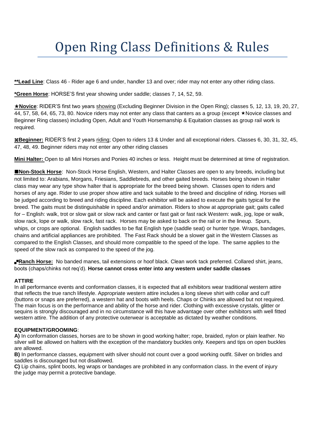# Open Ring Class Definitions & Rules

\*\*Lead Line: Class 46 - Rider age 6 and under, handler 13 and over; rider may not enter any other riding class.

**\*Green Horse**: HORSE'S first year showing under saddle; classes 7, 14, 52, 59.

**Novice**: RIDER'S first two years showing (Excluding Beginner Division in the Open Ring); classes 5, 12, 13, 19, 20, 27, 44, 57, 58, 64, 65, 73, 80. Novice riders may not enter any class that canters as a group (except  $\star$  Novice classes and Beginner Ring classes) including Open, Adult and Youth Horsemanship & Equitation classes as group rail work is required.

**Beginner:** RIDER'S first 2 years riding; Open to riders 13 & Under and all exceptional riders. Classes 6, 30, 31, 32, 45, 47, 48, 49. Beginner riders may not enter any other riding classes

**Mini Halter:** Open to all Mini Horses and Ponies 40 inches or less. Height must be determined at time of registration.

**Non-Stock Horse**: Non-Stock Horse English, Western, and Halter Classes are open to any breeds, including but not limited to: Arabians, Morgans, Friesians, Saddlebreds, and other gaited breeds. Horses being shown in Halter class may wear any type show halter that is appropriate for the breed being shown. Classes open to riders and horses of any age. Rider to use proper show attire and tack suitable to the breed and discipline of riding. Horses will be judged according to breed and riding discipline. Each exhibitor will be asked to execute the gaits typical for the breed. The gaits must be distinguishable in speed and/or animation. Riders to show at appropriate gait; gaits called for – English: walk, trot or slow gait or slow rack and canter or fast gait or fast rack Western: walk, jog, lope or walk, slow rack, lope or walk, slow rack, fast rack. Horses may be asked to back on the rail or in the lineup. Spurs, whips, or crops are optional. English saddles to be flat English type (saddle seat) or hunter type. Wraps, bandages, chains and artificial appliances are prohibited. The Fast Rack should be a slower gait in the Western Classes as compared to the English Classes, and should more compatible to the speed of the lope. The same applies to the speed of the slow rack as compared to the speed of the jog.

**Ranch Horse:** No banded manes, tail extensions or hoof black. Clean work tack preferred. Collared shirt, jeans, boots (chaps/chinks not req'd). **Horse cannot cross enter into any western under saddle classes**

#### **ATTIRE**

In all performance events and conformation classes, it is expected that all exhibitors wear traditional western attire that reflects the true ranch lifestyle. Appropriate western attire includes a long sleeve shirt with collar and cuff (buttons or snaps are preferred), a western hat and boots with heels. Chaps or Chinks are allowed but not required. The main focus is on the performance and ability of the horse and rider. Clothing with excessive crystals, glitter or sequins is strongly discouraged and in no circumstance will this have advantage over other exhibitors with well fitted western attire. The addition of any protective outerwear is acceptable as dictated by weather conditions.

#### **EQUIPMENT/GROOMING**:

**A)** In conformation classes, horses are to be shown in good working halter; rope, braided, nylon or plain leather. No silver will be allowed on halters with the exception of the mandatory buckles only. Keepers and tips on open buckles are allowed.

**B)** In performance classes, equipment with silver should not count over a good working outfit. Silver on bridles and saddles is discouraged but not disallowed.

**C)** Lip chains, splint boots, leg wraps or bandages are prohibited in any conformation class. In the event of injury the judge may permit a protective bandage.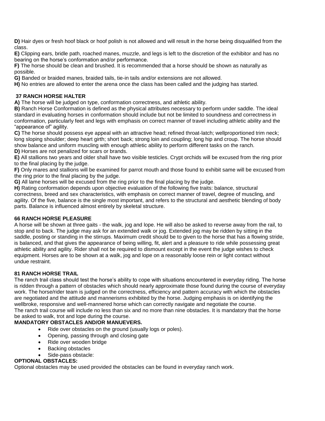**D)** Hair dyes or fresh hoof black or hoof polish is not allowed and will result in the horse being disqualified from the class.

**E)** Clipping ears, bridle path, roached manes, muzzle, and legs is left to the discretion of the exhibitor and has no bearing on the horse's conformation and/or performance.

**F)** The horse should be clean and brushed. It is recommended that a horse should be shown as naturally as possible.

**G)** Banded or braided manes, braided tails, tie-in tails and/or extensions are not allowed.

**H)** No entries are allowed to enter the arena once the class has been called and the judging has started.

### **37 RANCH HORSE HALTER**

**A)** The horse will be judged on type, conformation correctness, and athletic ability.

**B)** Ranch Horse Conformation is defined as the physical attributes necessary to perform under saddle. The ideal standard in evaluating horses in conformation should include but not be limited to soundness and correctness in conformation, particularly feet and legs with emphasis on correct manner of travel including athletic ability and the "appearance of" agility.

**C)** The horse should possess eye appeal with an attractive head; refined throat-latch; wellproportioned trim neck; long sloping shoulder; deep heart girth; short back; strong loin and coupling; long hip and croup. The horse should show balance and uniform muscling with enough athletic ability to perform different tasks on the ranch.

**D)** Horses are not penalized for scars or brands.

**E)** All stallions two years and older shall have two visible testicles. Crypt orchids will be excused from the ring prior to the final placing by the judge.

**F)** Only mares and stallions will be examined for parrot mouth and those found to exhibit same will be excused from the ring prior to the final placing by the judge.

**G)** All lame horses will be excused from the ring prior to the final placing by the judge.

**H)** Rating conformation depends upon objective evaluation of the following five traits: balance, structural correctness, breed and sex characteristics, with emphasis on correct manner of travel, degree of muscling, and agility. Of the five, balance is the single most important, and refers to the structural and aesthetic blending of body parts. Balance is influenced almost entirely by skeletal structure.

#### **66 RANCH HORSE PLEASURE**

A horse will be shown at three gaits - the walk, jog and lope. He will also be asked to reverse away from the rail, to stop and to back. The judge may ask for an extended walk or jog. Extended jog may be ridden by sitting in the saddle, posting or standing in the stirrups. Maximum credit should be to given to the horse that has a flowing stride, is balanced, and that gives the appearance of being willing, fit, alert and a pleasure to ride while possessing great athletic ability and agility. Rider shall not be required to dismount except in the event the judge wishes to check equipment. Horses are to be shown at a walk, jog and lope on a reasonably loose rein or light contact without undue restraint.

### **81 RANCH HORSE TRAIL**

The ranch trail class should test the horse's ability to cope with situations encountered in everyday riding. The horse is ridden through a pattern of obstacles which should nearly approximate those found during the course of everyday work. The horse/rider team is judged on the correctness, efficiency and pattern accuracy with which the obstacles are negotiated and the attitude and mannerisms exhibited by the horse. Judging emphasis is on identifying the wellbroke, responsive and well-mannered horse which can correctly navigate and negotiate the course. The ranch trail course will include no less than six and no more than nine obstacles. It is mandatory that the horse be asked to walk, trot and lope during the course.

#### **MANDATORY OBSTACLES AND/OR MANUEVERS.**

- Ride over obstacles on the ground (usually logs or poles).
- Opening, passing through and closing gate
- Ride over wooden bridge
- Backing obstacles
- Side-pass obstacle:

### **OPTIONAL OBSTACLES:**

Optional obstacles may be used provided the obstacles can be found in everyday ranch work.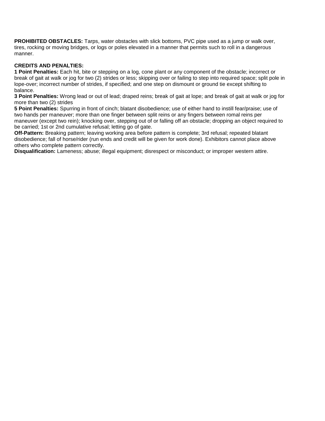**PROHIBITED OBSTACLES:** Tarps, water obstacles with slick bottoms, PVC pipe used as a jump or walk over, tires, rocking or moving bridges, or logs or poles elevated in a manner that permits such to roll in a dangerous manner.

#### **CREDITS AND PENALTIES:**

**1 Point Penalties:** Each hit, bite or stepping on a log, cone plant or any component of the obstacle; incorrect or break of gait at walk or jog for two (2) strides or less; skipping over or failing to step into required space; split pole in lope-over; incorrect number of strides, if specified; and one step on dismount or ground tie except shifting to balance.

**3 Point Penalties:** Wrong lead or out of lead; draped reins; break of gait at lope; and break of gait at walk or jog for more than two (2) strides

**5 Point Penalties:** Spurring in front of cinch; blatant disobedience; use of either hand to instill fear/praise; use of two hands per maneuver; more than one finger between split reins or any fingers between romal reins per maneuver (except two rein); knocking over, stepping out of or falling off an obstacle; dropping an object required to be carried; 1st or 2nd cumulative refusal; letting go of gate.

**Off-Pattern:** Breaking pattern; leaving working area before pattern is complete; 3rd refusal; repeated blatant disobedience; fall of horse/rider (run ends and credit will be given for work done). Exhibitors cannot place above others who complete pattern correctly.

**Disqualification:** Lameness; abuse; illegal equipment; disrespect or misconduct; or improper western attire.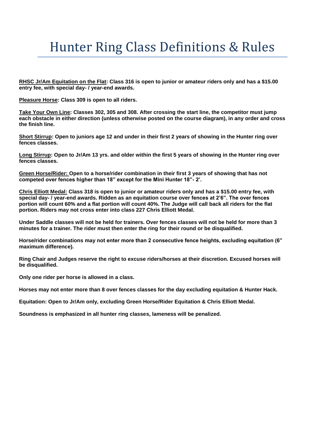### Hunter Ring Class Definitions & Rules

**RHSC Jr/Am Equitation on the Flat: Class 316 is open to junior or amateur riders only and has a \$15.00 entry fee, with special day- / year-end awards.** 

**Pleasure Horse: Class 309 is open to all riders.**

**Take Your Own Line: Classes 302, 305 and 308. After crossing the start line, the competitor must jump each obstacle in either direction (unless otherwise posted on the course diagram), in any order and cross the finish line.**

**Short Stirrup: Open to juniors age 12 and under in their first 2 years of showing in the Hunter ring over fences classes.**

**Long Stirrup: Open to Jr/Am 13 yrs. and older within the first 5 years of showing in the Hunter ring over fences classes.**

**Green Horse/Rider: Open to a horse/rider combination in their first 3 years of showing that has not competed over fences higher than 18" except for the Mini Hunter 18"- 2'.**

**Chris Elliott Medal: Class 318 is open to junior or amateur riders only and has a \$15.00 entry fee, with special day- / year-end awards. Ridden as an equitation course over fences at 2'6". The over fences portion will count 60% and a flat portion will count 40%. The Judge will call back all riders for the flat portion. Riders may not cross enter into class 227 Chris Elliott Medal.**

**Under Saddle classes will not be held for trainers. Over fences classes will not be held for more than 3 minutes for a trainer. The rider must then enter the ring for their round or be disqualified.** 

**Horse/rider combinations may not enter more than 2 consecutive fence heights, excluding equitation (6" maximum difference).**

**Ring Chair and Judges reserve the right to excuse riders/horses at their discretion. Excused horses will be disqualified.**

**Only one rider per horse is allowed in a class.**

**Horses may not enter more than 8 over fences classes for the day excluding equitation & Hunter Hack.**

**Equitation: Open to Jr/Am only, excluding Green Horse/Rider Equitation & Chris Elliott Medal.**

**Soundness is emphasized in all hunter ring classes, lameness will be penalized.**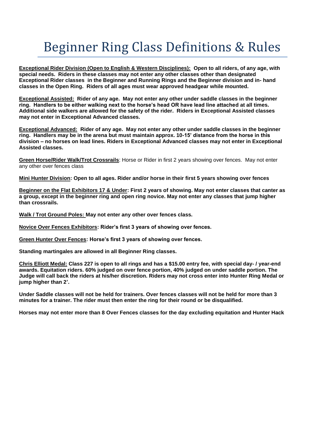## Beginner Ring Class Definitions & Rules

**Exceptional Rider Division (Open to English & Western Disciplines): Open to all riders, of any age, with special needs. Riders in these classes may not enter any other classes other than designated Exceptional Rider classes in the Beginner and Running Rings and the Beginner division and in- hand classes in the Open Ring. Riders of all ages must wear approved headgear while mounted.**

**Exceptional Assisted: Rider of any age. May not enter any other under saddle classes in the beginner ring. Handlers to be either walking next to the horse's head OR have lead line attached at all times. Additional side walkers are allowed for the safety of the rider. Riders in Exceptional Assisted classes may not enter in Exceptional Advanced classes.**

**Exceptional Advanced: Rider of any age. May not enter any other under saddle classes in the beginner ring. Handlers may be in the arena but must maintain approx. 10-15' distance from the horse in this division – no horses on lead lines. Riders in Exceptional Advanced classes may not enter in Exceptional Assisted classes.**

**Green Horse/Rider Walk/Trot Crossrails**: Horse or Rider in first 2 years showing over fences. May not enter any other over fences class

**Mini Hunter Division: Open to all ages. Rider and/or horse in their first 5 years showing over fences** 

**Beginner on the Flat Exhibitors 17 & Under: First 2 years of showing. May not enter classes that canter as a group, except in the beginner ring and open ring novice. May not enter any classes that jump higher than crossrails.**

**Walk / Trot Ground Poles: May not enter any other over fences class.**

**Novice Over Fences Exhibitors: Rider's first 3 years of showing over fences.**

**Green Hunter Over Fences: Horse's first 3 years of showing over fences.**

**Standing martingales are allowed in all Beginner Ring classes.** 

**Chris Elliott Medal: Class 227 is open to all rings and has a \$15.00 entry fee, with special day- / year-end awards. Equitation riders. 60% judged on over fence portion, 40% judged on under saddle portion. The Judge will call back the riders at his/her discretion. Riders may not cross enter into Hunter Ring Medal or jump higher than 2'.**

**Under Saddle classes will not be held for trainers. Over fences classes will not be held for more than 3 minutes for a trainer. The rider must then enter the ring for their round or be disqualified.** 

**Horses may not enter more than 8 Over Fences classes for the day excluding equitation and Hunter Hack**